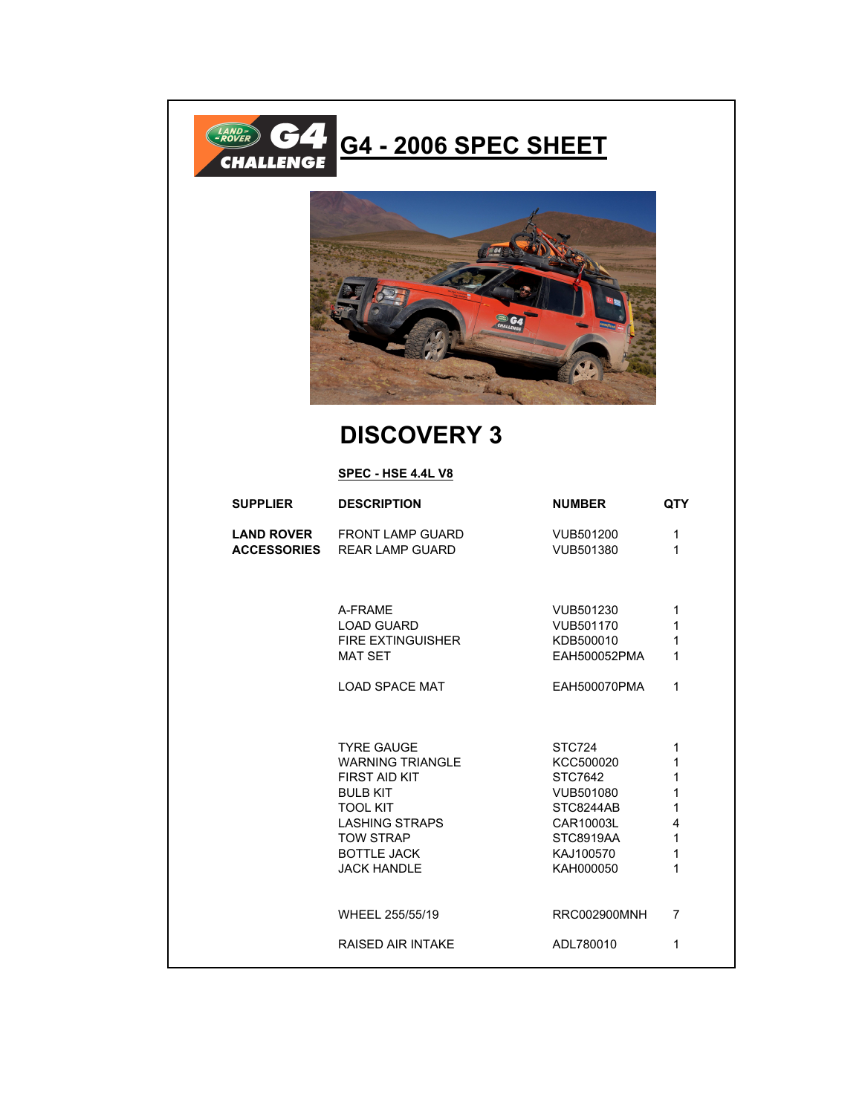



## **DISCOVERY 3**

## **SPEC - HSE 4.4L V8**

| <b>SUPPLIER</b>    | <b>DESCRIPTION</b>       | <b>NUMBER</b>    | <b>QTY</b>     |
|--------------------|--------------------------|------------------|----------------|
| <b>LAND ROVER</b>  | <b>FRONT LAMP GUARD</b>  | VUB501200        | $\mathbf 1$    |
| <b>ACCESSORIES</b> | <b>REAR LAMP GUARD</b>   | VUB501380        | 1              |
|                    | A-FRAME                  | VUB501230        | 1              |
|                    | <b>LOAD GUARD</b>        | VUB501170        | 1              |
|                    | <b>FIRE EXTINGUISHER</b> | KDB500010        | 1              |
|                    | <b>MAT SET</b>           | EAH500052PMA     | 1              |
|                    | <b>LOAD SPACE MAT</b>    | EAH500070PMA     | 1              |
|                    | <b>TYRE GAUGE</b>        | STC724           | 1              |
|                    | <b>WARNING TRIANGLE</b>  | KCC500020        | 1              |
|                    | <b>FIRST AID KIT</b>     | STC7642          | 1              |
|                    | <b>BULB KIT</b>          | VUB501080        | 1              |
|                    | <b>TOOL KIT</b>          | STC8244AB        | 1              |
|                    | <b>LASHING STRAPS</b>    | CAR10003L        | $\overline{4}$ |
|                    | <b>TOW STRAP</b>         | <b>STC8919AA</b> | $\mathbf{1}$   |
|                    | <b>BOTTLE JACK</b>       | KAJ100570        | 1              |
|                    | <b>JACK HANDLE</b>       | KAH000050        | 1              |
|                    | WHEEL 255/55/19          | RRC002900MNH     | $\overline{7}$ |
|                    | <b>RAISED AIR INTAKE</b> | ADL780010        | 1              |